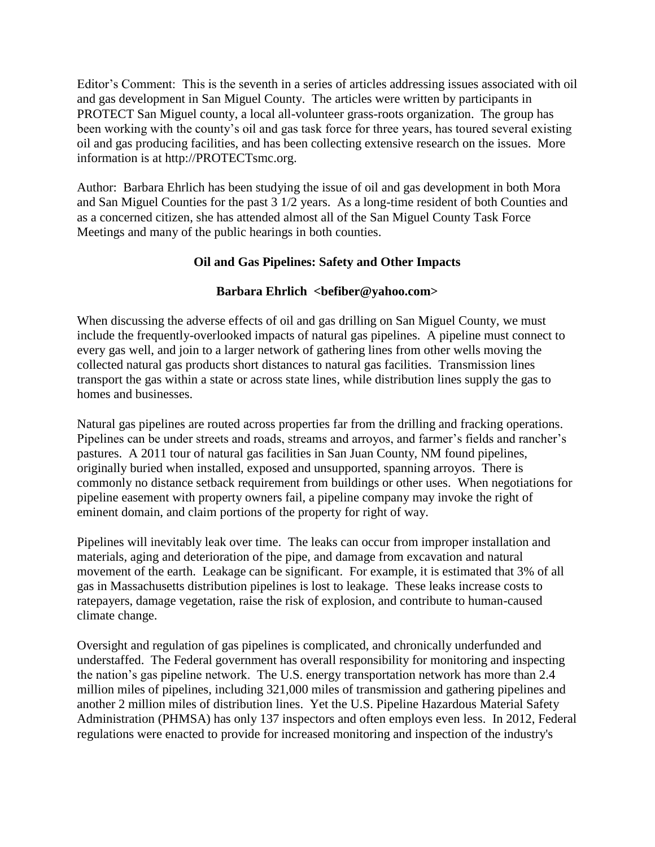Editor's Comment: This is the seventh in a series of articles addressing issues associated with oil and gas development in San Miguel County. The articles were written by participants in PROTECT San Miguel county, a local all-volunteer grass-roots organization. The group has been working with the county's oil and gas task force for three years, has toured several existing oil and gas producing facilities, and has been collecting extensive research on the issues. More information is at http://PROTECTsmc.org.

Author: Barbara Ehrlich has been studying the issue of oil and gas development in both Mora and San Miguel Counties for the past 3 1/2 years. As a long-time resident of both Counties and as a concerned citizen, she has attended almost all of the San Miguel County Task Force Meetings and many of the public hearings in both counties.

## **Oil and Gas Pipelines: Safety and Other Impacts**

## **Barbara Ehrlich <befiber@yahoo.com>**

When discussing the adverse effects of oil and gas drilling on San Miguel County, we must include the frequently-overlooked impacts of natural gas pipelines. A pipeline must connect to every gas well, and join to a larger network of gathering lines from other wells moving the collected natural gas products short distances to natural gas facilities. Transmission lines transport the gas within a state or across state lines, while distribution lines supply the gas to homes and businesses.

Natural gas pipelines are routed across properties far from the drilling and fracking operations. Pipelines can be under streets and roads, streams and arroyos, and farmer's fields and rancher's pastures. A 2011 tour of natural gas facilities in San Juan County, NM found pipelines, originally buried when installed, exposed and unsupported, spanning arroyos. There is commonly no distance setback requirement from buildings or other uses. When negotiations for pipeline easement with property owners fail, a pipeline company may invoke the right of eminent domain, and claim portions of the property for right of way.

Pipelines will inevitably leak over time. The leaks can occur from improper installation and materials, aging and deterioration of the pipe, and damage from excavation and natural movement of the earth. Leakage can be significant. For example, it is estimated that 3% of all gas in Massachusetts distribution pipelines is lost to leakage. These leaks increase costs to ratepayers, damage vegetation, raise the risk of explosion, and contribute to human-caused climate change.

Oversight and regulation of gas pipelines is complicated, and chronically underfunded and understaffed. The Federal government has overall responsibility for monitoring and inspecting the nation's gas pipeline network. The U.S. energy transportation network has more than 2.4 million miles of pipelines, including 321,000 miles of transmission and gathering pipelines and another 2 million miles of distribution lines. Yet the U.S. Pipeline Hazardous Material Safety Administration (PHMSA) has only 137 inspectors and often employs even less. In 2012, Federal regulations were enacted to provide for increased monitoring and inspection of the industry's